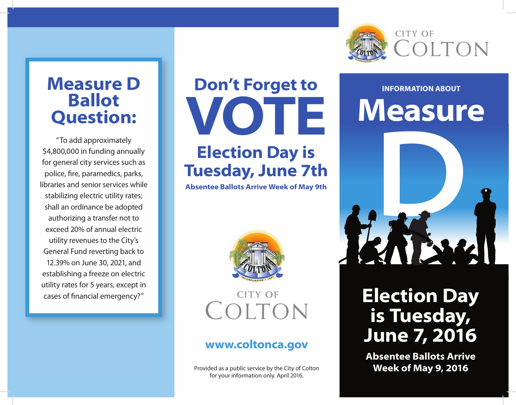

### **Measure D Ballot Question:**

"To add approximately \$4,800,000 in funding annually for general city services such as police, fire, paramedics, parks, libraries and senior services while stabilizing electric utility rates; shall an ordinance be adopted authorizing a transfer not to exceed 20% of annual electric utility revenues to the City's General Fund reverting back to 12.39% on June 30, 2021, and establishing a freeze on electric utility rates for 5 years, except in cases of financial emergency?"

# **Don't Forget to VOTE Election Day is Tuesday, June 7th**

**Absentee Ballots Arrive Week of May 9th**



 **CITY OF** 

#### **www.coltonca.gov**

Provided as a public service by the City of Colton for your information only. April 2016.

## **INFORMATION ABOUT Measure**



### COLTON **Election Day is Tuesday, June 7, 2016**

**Absentee Ballots Arrive Week of May 9, 2016**